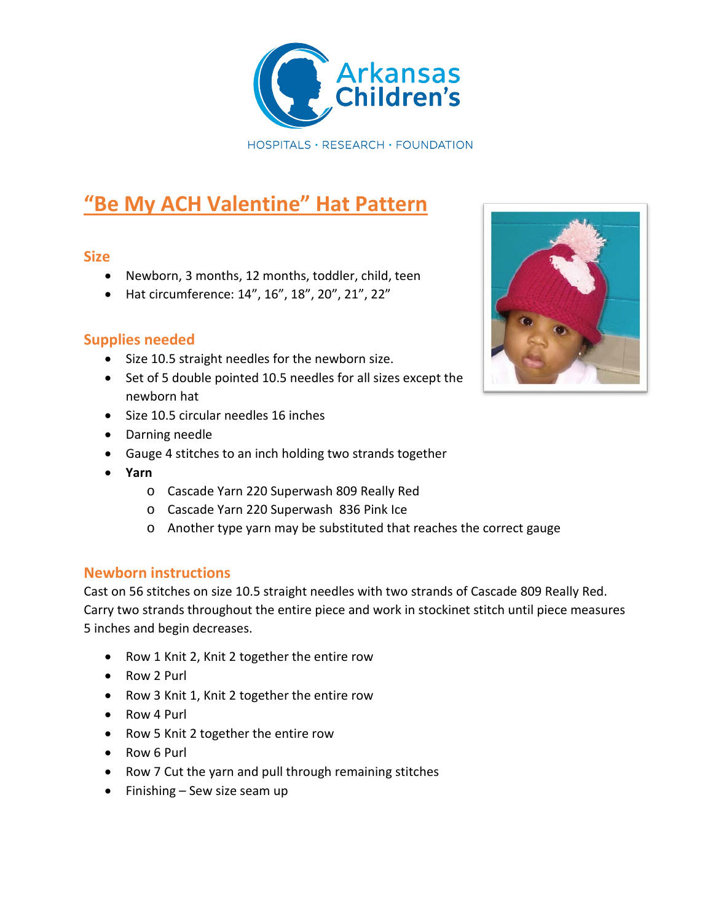

# **"Be My ACH Valentine" Hat Pattern**

#### **Size**

- Newborn, 3 months, 12 months, toddler, child, teen
- Hat circumference: 14", 16", 18", 20", 21", 22"

## **Supplies needed**

- Size 10.5 straight needles for the newborn size.
- Set of 5 double pointed 10.5 needles for all sizes except the newborn hat
- Size 10.5 circular needles 16 inches
- Darning needle
- Gauge 4 stitches to an inch holding two strands together
- **Yarn**
	- o Cascade Yarn 220 Superwash 809 Really Red
	- o Cascade Yarn 220 Superwash 836 Pink Ice
	- o Another type yarn may be substituted that reaches the correct gauge

#### **Newborn instructions**

Cast on 56 stitches on size 10.5 straight needles with two strands of Cascade 809 Really Red. Carry two strands throughout the entire piece and work in stockinet stitch until piece measures 5 inches and begin decreases.

- Row 1 Knit 2, Knit 2 together the entire row
- Row 2 Purl
- Row 3 Knit 1, Knit 2 together the entire row
- Row 4 Purl
- Row 5 Knit 2 together the entire row
- Row 6 Purl
- Row 7 Cut the yarn and pull through remaining stitches
- Finishing Sew size seam up